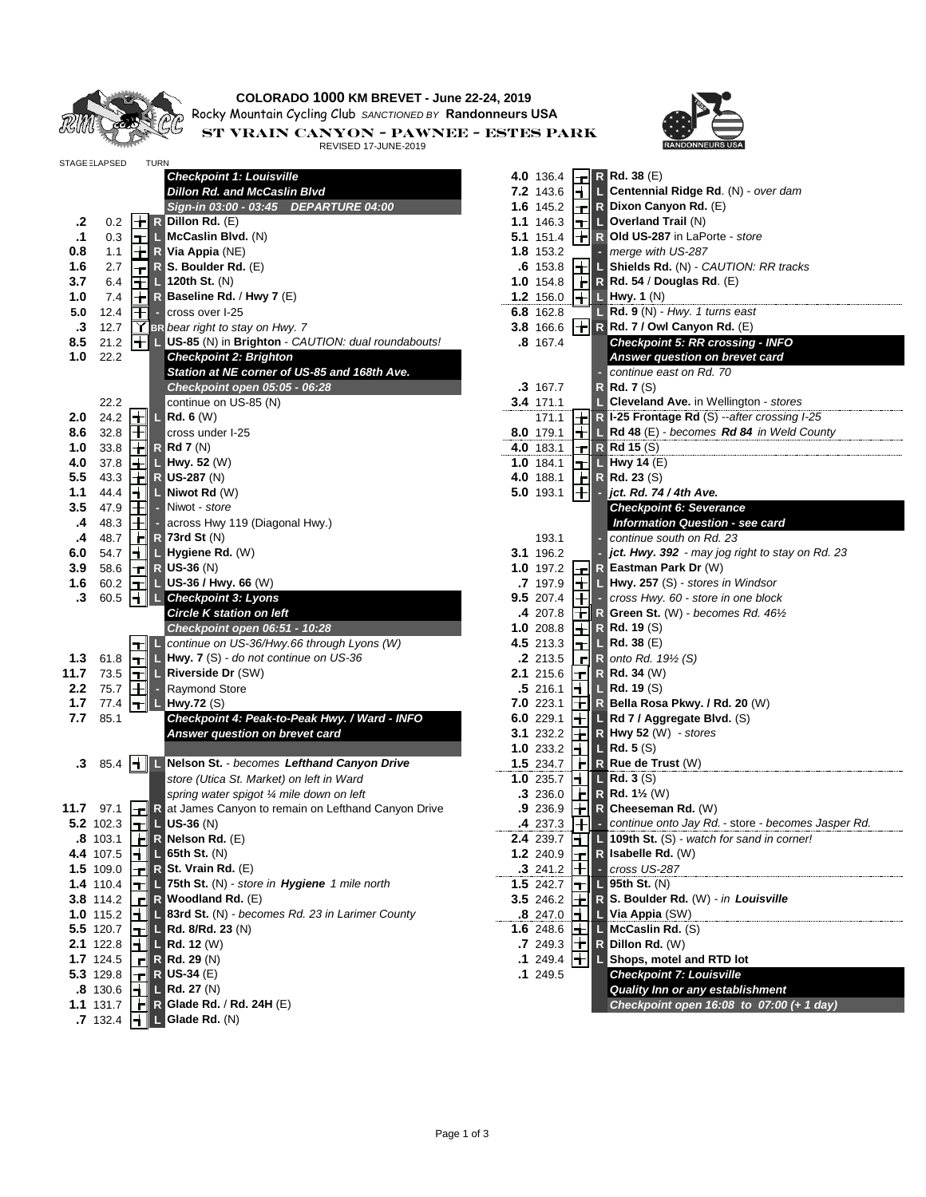

## **COLORADO 1000 KM BREVET - June 22-24, 2019** Rocky Mountain Cycling Club *SANCTIONED BY* **Randonneurs USA**

*COULD ST VRAIN CANYON - PAWNEE - ESTES PARK*<br>REVISED 17-JUNE-2019



|                  | <b>STAGE ELAPSED</b>                 | <b>TURN</b>              |                                                                                                |                  |                   |                                                                 |
|------------------|--------------------------------------|--------------------------|------------------------------------------------------------------------------------------------|------------------|-------------------|-----------------------------------------------------------------|
|                  |                                      |                          | <b>Checkpoint 1: Louisville</b>                                                                | 4.0 136.4        | <u>اح</u>         | $R$ Rd. 38 (E)                                                  |
|                  |                                      |                          | <b>Dillon Rd. and McCaslin Blvd</b>                                                            | 7.2 143.6        | НI                | L Centennial Ridge Rd. (N) - over dam                           |
|                  |                                      |                          | Sign-in 03:00 - 03:45  DEPARTURE 04:00                                                         | 1.6 145.2        | ┠┲║               | R Dixon Canyon Rd. (E)                                          |
| $\cdot$          | 0.2                                  | $\pm$                    | $R$ Dillon Rd. $(E)$                                                                           | 1.1 146.3        | IтI               | $\Box$ Overland Trail (N)                                       |
| $\cdot$ 1        | 0.3                                  |                          | $\left  \frac{1}{\  \mathbf{I} \ } \right $ McCaslin Blvd. (N)                                 | 5.1 151.4        | ╟╈╢               | R Old US-287 in LaPorte - store                                 |
| 0.8              | 1.1                                  |                          | $\left  \frac{1}{\  \mathbf{F} \ } \right $ <b>N</b> Via Appia (NE)                            | 1.8 153.2        |                   | merge with US-287                                               |
| 1.6              | 2.7                                  | ᆔ                        | $R$ S. Boulder Rd. $(E)$                                                                       | 6.153.8          | ╟╈╢               | <b>L</b> Shields Rd. (N) - CAUTION: RR tracks                   |
| 3.7              | 6.4                                  | $\mathbf F$              | $L$ 120th St. (N)                                                                              | $1.0$ 154.8      | ╟┍║               | R Rd. 54 / Douglas Rd. $(E)$                                    |
| 1.0              | 7.4                                  |                          | $\left  \frac{1}{\  \mathbf{R} \ } \mathbf{R} \right $ Baseline Rd. / Hwy 7 (E)                | 1.2 156.0        | ╟╁┨               | $\blacksquare$ Hwy. 1 (N)                                       |
| 5.0              | 12.4                                 |                          | $\mathbf{F}$ - cross over I-25                                                                 | 6.8 162.8        |                   | $\Box$ Rd. 9 (N) - Hwy. 1 turns east                            |
| .3               | 12.7                                 |                          | $\mathbf{Y}$ BR bear right to stay on Hwy. 7                                                   | 3.8 166.6        |                   | $\  \cdot \ $ R Rd. 7 / Owl Canyon Rd. (E)                      |
| 8.5              | 21.2                                 |                          | H L US-85 (N) in Brighton - CAUTION: dual roundabouts!                                         | 8 167.4          |                   | <b>Checkpoint 5: RR crossing - INFO</b>                         |
| 1.0              | 22.2                                 |                          | <b>Checkpoint 2: Brighton</b>                                                                  |                  |                   | Answer question on brevet card                                  |
|                  |                                      |                          | Station at NE corner of US-85 and 168th Ave.                                                   |                  |                   | continue east on Rd. 70                                         |
|                  |                                      |                          | Checkpoint open 05:05 - 06:28                                                                  | <b>3</b> 167.7   |                   | $R$ Rd. 7 (S)                                                   |
|                  | 22.2                                 |                          | continue on US-85 (N)                                                                          | 3.4 171.1        |                   | L Cleveland Ave. in Wellington - stores                         |
|                  |                                      | $\mathbf{H}$             |                                                                                                |                  |                   |                                                                 |
| 2.0              | 24.2                                 |                          | $\blacksquare$ Rd. 6 (W)                                                                       | 171.1            | ╟╈╢               | R I-25 Frontage Rd (S) -- after crossing I-25                   |
| 8.6              | 32.8 $H$                             |                          | cross under I-25                                                                               | 8.0 179.1        |                   | $\ \mathbf{+}\ $ L Rd 48 (E) - becomes Rd 84 in Weld County     |
| 1.0              | 33.8                                 | 电                        | $R$ Rd 7 (N)                                                                                   | 4.0 183.1        |                   | $\left\  \mathbf{r} \right\ $ R Rd 15 (S)                       |
| 4.0              | 37.8                                 | $\mathbf{H}$             | $\blacksquare$ Hwy. 52 (W)                                                                     | 1.0 184.1        | ╟┱╢               | $\Box$ Hwy 14 (E)                                               |
| $5.5\,$          | 43.3                                 | $\pm$                    | R US-287 (N)                                                                                   | 4.0 188.1        | ∐⊢∥               | <b>R</b> Rd. 23 (S)                                             |
| 1.1              | 44.4                                 | $\vert \mathbf{H} \vert$ | $\blacksquare$ Niwot Rd (W)                                                                    | 5.0 193.1        | ╟╂║               | $-$ jct. Rd. 74 / 4th Ave.                                      |
| 3.5              | 47.9                                 | 田                        | - Niwot - store                                                                                |                  |                   | <b>Checkpoint 6: Severance</b>                                  |
| .4               | 48.3                                 | $\pm$                    | - across Hwy 119 (Diagonal Hwy.)                                                               |                  |                   | <b>Information Question - see card</b>                          |
| .4               | 48.7                                 | <u>H</u>                 | $R$ 73rd St $(N)$                                                                              | 193.1            |                   | continue south on Rd. 23                                        |
| 6.0              | 54.7                                 | $\mathbf{H}$             | L Hygiene Rd. (W)                                                                              | 3.1 196.2        |                   | jct. Hwy. 392 - may jog right to stay on Rd. 23                 |
| 3.9              | 58.6                                 | H                        | $R$ US-36 (N)                                                                                  | 1.0 197.2        | <u>اح</u>         | R Eastman Park Dr $(W)$                                         |
| 1.6              | 60.2                                 | ᅱ                        | $\Box$ US-36 / Hwy. 66 (W)                                                                     | .7 197.9         | ╟╈                | $\Box$ Hwy. 257 (S) - stores in Windsor                         |
| $\cdot$ 3        | 60.5                                 | HI                       | L Checkpoint 3: Lyons                                                                          | 9.5 207.4        | $\mathsf{H}$      | - cross Hwy. 60 - store in one block                            |
|                  |                                      |                          | <b>Circle K station on left</b>                                                                | 4 207.8          |                   | <b>T</b> R Green St. (W) - becomes Rd. $46\%$                   |
|                  |                                      |                          | Checkpoint open 06:51 - 10:28                                                                  | 1.0 208.8        | ℍ                 | <b>R</b> Rd. 19 (S)                                             |
|                  |                                      | ┱╽                       | continue on US-36/Hwy.66 through Lyons (W)                                                     | 4.5 213.3        | $ \mathbf{\tau} $ | $\Box$ Rd. 38 (E)                                               |
| 1.3              | 61.8                                 | ᅱ                        | $\blacksquare$ Hwy. 7 (S) - do not continue on US-36                                           | .2 213.5         | ᆀ                 | R onto Rd. $19\frac{1}{2}$ (S)                                  |
| 11.7             | 73.5                                 |                          | $\boxed{\top}$ Riverside Dr (SW)                                                               | 2.1 215.6        | IТI               | $R$ Rd. 34 (W)                                                  |
| $2.2\phantom{0}$ | 75.7                                 | $\mathbf \mathbf H$      | - Raymond Store                                                                                | .5216.1          | HI                | $\blacksquare$ Rd. 19 (S)                                       |
| 1.7              | 77.4                                 |                          | $\left \mathbf{T}\right $   $\left \mathbf{I}\right $ Hwy.72 (S)                               | 7.0 223.1        | $\mathsf{H}$      | R Bella Rosa Pkwy. / Rd. 20 (W)                                 |
| 7.7              | 85.1                                 |                          | Checkpoint 4: Peak-to-Peak Hwy. / Ward - INFO                                                  | 6.0 229.1        |                   | H L Rd 7 / Aggregate Blvd. (S)                                  |
|                  |                                      |                          | Answer question on brevet card                                                                 |                  |                   | 3.1 232.2 $\boxed{+}$ R Hwy 52 (W) - stores                     |
|                  |                                      |                          |                                                                                                | 1.0 233.2        | HI                | $\Box$ Rd. 5 (S)                                                |
| $\cdot$ 3        |                                      |                          | 85.4   INelson St. - becomes Lefthand Canyon Drive                                             | 1.5 234.7        |                   | $\leftarrow$ R Rue de Trust (W)                                 |
|                  |                                      |                          | store (Utica St. Market) on left in Ward                                                       | 1.0 235.7        |                   | $\overline{H}$ $\overline{L}$ Rd. 3 (S)                         |
|                  |                                      |                          | spring water spigot 1/4 mile down on left                                                      | .3 236.0         | 비                 | $R$ Rd. 1 <sup>1</sup> / <sub>2</sub> (W)                       |
| 11.7             | 97.1                                 |                          | $\left  \frac{1}{\  \mathbf{r} \ } \right $ at James Canyon to remain on Lefthand Canyon Drive | .9 236.9         |                   | $\left\  \frac{1}{\  \mathbf{R} \ } \right\ $ Cheeseman Rd. (W) |
|                  |                                      |                          | 5.2 102.3 $\boxed{\textbf{I}}$ <b>L</b> US-36 (N)                                              | .4 237.3         | $\mathbb H$       | continue onto Jay Rd. - store - becomes Jasper Rd.              |
|                  | $.8$ 103.1                           |                          | $\left\  \mathbb{R} \right\ $ Nelson Rd. (E)                                                   | 2.4 239.7        |                   | $\blacksquare$ 109th St. (S) - watch for sand in corner!        |
|                  | 4.4 107.5                            | ыu                       | $L$ 65th St. (N)                                                                               | 1.2 240.9        |                   | $\left\  \mathbf{r} \right\ $ R Isabelle Rd. (W)                |
|                  |                                      |                          | 1.5 109.0 $\boxed{\mathbf{r}}$ R St. Vrain Rd. (E)                                             | .3241.2          | ŀН<br>$\sim$      | cross US-287                                                    |
|                  | <b>1.4</b> 110.4                     |                          | T 75th St. (N) - store in Hygiene 1 mile north                                                 | 1.5 242.7        | ᆔ                 | 95th St. (N)                                                    |
|                  | 3.8 114.2                            |                          | $\mathsf{F}$ <b>R</b> Woodland Rd. (E)                                                         | <b>3.5</b> 246.2 |                   | R S. Boulder Rd. (W) - in Louisville                            |
|                  | 1.0 115.2 $  $                       |                          | <b>L 83rd St.</b> (N) - becomes Rd. 23 in Larimer County                                       | .8 247.0         | н                 | Via Appia (SW)                                                  |
|                  |                                      |                          |                                                                                                |                  | ╅╢                | $\blacksquare$ McCaslin Rd. (S)                                 |
|                  | 5.5 120.7                            | ודו                      | <b>L</b> Rd. 8/Rd. 23 (N)                                                                      | 1.6 248.6        |                   |                                                                 |
|                  | <b>2.1</b> 122.8 $\vert \cdot \vert$ |                          | $\blacksquare$ Rd. 12 (W)                                                                      | .7 249.3         |                   | $  \mathbf{t}  $ R Dillon Rd. (W)                               |
|                  | 1.7 124.5                            | гl                       | $R$ Rd. 29 (N)                                                                                 | 1 249.4          |                   | $\left\  \boldsymbol{\tau} \right\ $ Shops, motel and RTD lot   |
|                  | 5.3 129.8 $\boxed{\mathbf{T}}$       |                          | $R$ US-34 (E)                                                                                  | 1 249.5          |                   | <b>Checkpoint 7: Louisville</b>                                 |
|                  | $.8$ 130.6 $\pm$ 1                   |                          | $L$ Rd. 27 (N)                                                                                 |                  |                   | Quality Inn or any establishment                                |
|                  | 1.1 131.7 $\boxed{H}$                |                          | R Glade Rd. / Rd. 24H (E)                                                                      |                  |                   | Checkpoint open 16:08 to 07:00 (+ 1 day)                        |
|                  |                                      |                          | .7 132.4 $\rightarrow$ Clade Rd. (N)                                                           |                  |                   |                                                                 |

| <b>Checkpoint 1: Louisville</b>                    | 4.0 136.4                       | ТI             |   | $R$ Rd. 38 (E)                                                             |
|----------------------------------------------------|---------------------------------|----------------|---|----------------------------------------------------------------------------|
| Dillon Rd. and McCaslin Blvd                       | <b>7.2</b> 143.6 $\blacksquare$ |                | Ц | Centennial Ridge Rd. (N) - over dam                                        |
| Sign-in 03:00 - 03:45    DEPARTURE 04:00           | 1.6 $145.2$                     |                |   | <b>TR</b> Dixon Canyon Rd. (E)                                             |
| Dillon Rd. (E)                                     | 1.1 146.3                       | TI             |   | Overland Trail (N)                                                         |
| McCaslin Blvd. (N)                                 |                                 |                |   | 5.1 151.4 $\left  \frac{1}{\cdot} \right $ R Old US-287 in LaPorte - store |
| Via Appia (NE)                                     | 1.8 153.2                       |                |   | - merge with US-287                                                        |
| S. Boulder Rd. (E)                                 | $.6$ 153.8 $ \cdot $            |                |   | <b>L</b> Shields Rd. (N) - CAUTION: RR tracks                              |
| 120th St. (N)                                      | 1.0 154.8                       |                |   | $\left  \rule{0.3cm}{.0cm} \right $ R Rd. 54 / Douglas Rd. (E)             |
| Baseline Rd. / Hwy 7 (E)                           | 1.2 156.0                       |                |   | $+$ L Hwy. 1 (N)                                                           |
| cross over I-25                                    | 6.8 162.8                       |                |   | $\Box$ Rd. 9 (N) - Hwy. 1 turns east                                       |
| bear right to stay on Hwy. 7                       | <b>3.8</b> 166.6                |                |   | $\  \cdot \ $ R Rd. 7 / Owl Canyon Rd. (E)                                 |
| US-85 (N) in Brighton - CAUTION: dual roundabouts! | 8 167.4                         |                |   | <b>Checkpoint 5: RR crossing - INFO</b>                                    |
| <b>Checkpoint 2: Brighton</b>                      |                                 |                |   | Answer question on brevet card                                             |
| Station at NE corner of US-85 and 168th Ave.       |                                 |                |   | continue east on Rd. 70                                                    |
| Checkpoint open 05:05 - 06:28                      | <b>3</b> 167.7                  |                |   | <b>R</b> Rd. 7 (S)                                                         |
| continue on US-85 (N)                              | 3.4 171.1                       |                |   | L Cleveland Ave. in Wellington - stores                                    |
| Rd. 6 (W)                                          | 171.1                           |                |   | R I-25 Frontage Rd (S) -- after crossing I-25                              |
| cross under I-25                                   | 8.0 179.1                       |                |   | $\mathbf{+}$ L Rd 48 (E) - becomes Rd 84 in Weld County                    |
| Rd 7 (N)                                           | 4.0 183.1                       | ┲║             |   | <b>R</b> Rd 15 (S)                                                         |
| Hwy. 52 (W)                                        | 1.0 184.1                       | ודו            |   | $\Box$ Hwy 14 (E)                                                          |
| US-287 (N)                                         | 4.0 188.1                       | ГI             |   | $R$ Rd. 23 (S)                                                             |
| Niwot Rd (W)                                       | 5.0 193.1                       | ΙHΙ            |   | $\blacksquare$ jct. Rd. 74 / 4th Ave.                                      |
| Niwot - <i>store</i>                               |                                 |                |   | <b>Checkpoint 6: Severance</b>                                             |
| across Hwy 119 (Diagonal Hwy.)                     |                                 |                |   | <b>Information Question - see card</b>                                     |
| 73rd St (N)                                        | 193.1                           |                |   | continue south on Rd. 23                                                   |
| Hygiene Rd. (W)                                    | 3.1 196.2                       |                |   | jct. Hwy. 392 - may jog right to stay on Rd. 23                            |
| US-36 (N)                                          | 1.0 197.2                       | <u>اح</u>      |   | <b>R</b> Eastman Park Dr $(W)$                                             |
| US-36 / Hwy. 66 (W)                                | 7 197.9                         | ┡╈╢            |   | $\blacksquare$ Hwy. 257 (S) - stores in Windsor                            |
| <b>Checkpoint 3: Lyons</b>                         | 9.5 207.4                       | ╊╢             |   | - cross Hwy. 60 - store in one block                                       |
| <b>Circle K station on left</b>                    | 4 207.8                         |                |   | $  \mathbf{+}  $ R Green St. (W) - becomes Rd. 46½                         |
| Checkpoint open 06:51 - 10:28                      |                                 |                |   | 1.0 208.8 $\pm$ R Rd. 19 (S)                                               |
| continue on US-36/Hwy.66 through Lyons (W)         | 4.5 213.3                       | ┱╢             |   | $\Box$ Rd. 38 (E)                                                          |
| <b>Hwy. 7</b> (S) - do not continue on US-36       | 2 213.5                         | гI             |   | R onto Rd. $19\frac{1}{2}$ (S)                                             |
| Riverside Dr (SW)                                  | 2.1 215.6 $\boxed{\text{T}}$    |                |   | <b>R</b> Rd. 34 (W)                                                        |
| Raymond Store                                      | .5 216.1                        | IН.            |   | L Rd. 19 (S)                                                               |
| <b>Hwy.72</b> (S)                                  | 7.0 223.1                       |                |   | $\ \mathbf{r}\ $ R Bella Rosa Pkwy. / Rd. 20 (W)                           |
| Checkpoint 4: Peak-to-Peak Hwy. / Ward - INFO      | 6.0 229.1                       | HH             |   | $\blacksquare$ Rd 7 / Aggregate Blvd. (S)                                  |
| Answer question on brevet card                     | <b>3.1</b> 232.2                |                |   | $\leftarrow$ R Hwy 52 (W) - stores                                         |
|                                                    | 1.0233.2                        |                |   | $\Box$ Rd. 5 (S)                                                           |
| Nelson St. - becomes <i>Lefthand Canyon Drive</i>  | <b>1.5</b> 234.7                | HI             |   | R Rue de Trust (W)                                                         |
| store (Utica St. Market) on left in Ward           | 1.0 235.7                       |                |   | $\left  \mathbf{H} \right $ L Rd. 3 (S)                                    |
| spring water spigot ¼ mile down on left            | .3 236.0                        | ᄈ              |   | <b>R</b> Rd. $1\frac{1}{2}$ (W)                                            |
| at James Canyon to remain on Lefthand Canyon Drive | .9 236.9                        |                |   | $\left\  \boldsymbol{\cdot} \right\ $ R Cheeseman Rd. (W)                  |
| US-36 (N)                                          |                                 |                |   | .4 237.3 $\ \cdot\ $ = continue onto Jay Rd. - store - becomes Jasper Rd.  |
| Nelson Rd. (E)                                     | 2.4 239.7                       |                |   | 1 L 109th St. (S) - watch for sand in corner!                              |
| 65th St. (N)                                       | 1.2 240.9                       | IT II          |   | R Isabelle Rd. (W)                                                         |
| St. Vrain Rd. (E)                                  | 3 241.2                         |                |   | cross US-287                                                               |
| 75th St. (N) - store in Hygiene 1 mile north       | 1.5 242.7                       | IT             |   | $\blacksquare$ 95th St. (N)                                                |
| Woodland Rd. (E)                                   | 3.5 246.2                       | ٠              |   | R S. Boulder Rd. (W) - in Louisville                                       |
| 83rd St. (N) - becomes Rd. 23 in Larimer County    | .8247.0                         | Iп.            |   | $\blacksquare$ Via Appia (SW)                                              |
| Rd. 8/Rd. 23 (N)                                   | 1.6 248.6                       |                |   | $\blacksquare$ McCaslin Rd. (S)                                            |
| Rd. 12 (W)                                         | .7249.3                         | $ \mathbf{r} $ |   | $R$ Dillon Rd. $(W)$                                                       |
| Rd. 29 (N)                                         | .1249.4                         | ETIL           |   | <b>L</b> Shops, motel and RTD lot                                          |
| US-34 (E)                                          | .1249.5                         |                |   | <b>Checkpoint 7: Louisville</b>                                            |
| Rd. 27 (N)                                         |                                 |                |   | <b>Quality Inn or any establishment</b>                                    |
| Glade Rd. / Rd. 24H (E)                            |                                 |                |   | Checkpoint open 16:08 to 07:00 (+ 1 day)                                   |
|                                                    |                                 |                |   |                                                                            |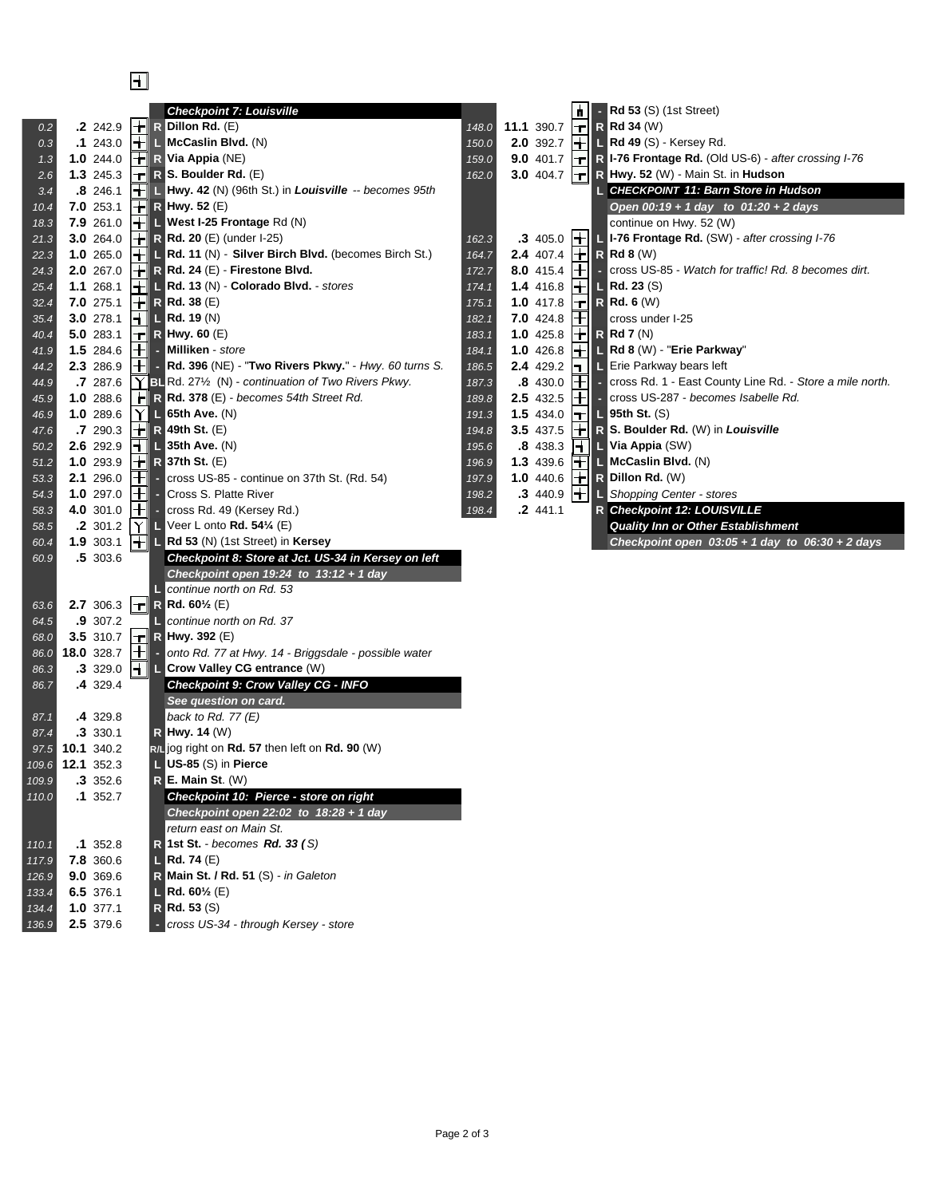## $\overline{\mathbf{H}}$

*134.4* **1.0** 377.1 **R Rd. 53** (S)

*136.9* **2.5** 379.6 **-** *cross US-34 - through Kersey - store*

|       |                 |                | <b>Checkpoint 7: Louisville</b>                                                                 |       |                                       | n                                                                                             | Rd 53 (S) (1st Street)                                     |
|-------|-----------------|----------------|-------------------------------------------------------------------------------------------------|-------|---------------------------------------|-----------------------------------------------------------------------------------------------|------------------------------------------------------------|
| 0.2   | .2 242.9        | ┢              | $R$ Dillon Rd. $(E)$                                                                            | 148.0 | 11.1 390.7                            | $\mathsf{L}$                                                                                  | $R$ Rd 34 (W)                                              |
| 0.3   | .1 243.0        | ┝╈╢            | $\blacksquare$ McCaslin Blvd. (N)                                                               | 150.0 | 2.0 392.7                             | $\pm$                                                                                         | L Rd 49 (S) - Kersey Rd.                                   |
| 1.3   | 1.0244.0        |                | $\boxed{\textbf{F}}$ R Via Appia (NE)                                                           | 159.0 | <b>9.0</b> 401.7 $\boxed{\mathbf{T}}$ |                                                                                               | R I-76 Frontage Rd. (Old US-6) - after crossing I-76       |
| 2.6   | 1.3 245.3       |                | $\left\  \mathbf{r} \right\ $ R S. Boulder Rd. (E)                                              | 162.0 | 3.0 404.7 $\boxed{\mathbf{T}}$        |                                                                                               | R Hwy. 52 (W) - Main St. in Hudson                         |
| 3.4   | .8246.1         | $\mathsf{H}$   | <b>L</b> Hwy. 42 (N) (96th St.) in <i>Louisville -- becomes 95th</i>                            |       |                                       |                                                                                               | L CHECKPOINT 11: Barn Store in Hudson                      |
| 10.4  | 7.0 253.1       | ╟╈╢            | $R$ Hwy. 52 (E)                                                                                 |       |                                       |                                                                                               | Open $00:19 + 1$ day to $01:20 + 2$ days                   |
| 18.3  | 7.9 261.0       |                | L West I-25 Frontage Rd (N)                                                                     |       |                                       |                                                                                               | continue on Hwy. 52 (W)                                    |
| 21.3  | 3.0 264.0       |                | $\left  \frac{1}{\left  \mathbf{F} \right } \right $ R <b>Rd. 20</b> (E) (under I-25)           | 162.3 | .3 405.0                              | ╟╅╢                                                                                           | L I-76 Frontage Rd. (SW) - after crossing I-76             |
| 22.3  | 1.0 265.0       | ŀН             | L Rd. 11 (N) - Silver Birch Blvd. (becomes Birch St.)                                           | 164.7 | 2.4 407.4                             |                                                                                               | $H \times R$ R $($ W)                                      |
| 24.3  | 2.0 267.0       | ╟╆╢            | R Rd. 24 (E) - Firestone Blvd.                                                                  | 172.7 | 8.0 415.4                             | $\mathsf{H}$                                                                                  | - cross US-85 - Watch for traffic! Rd. 8 becomes dirt.     |
| 25.4  | 1.1 268.1       |                | $\left  + \right $ Rd. 13 (N) - Colorado Blvd. - stores                                         | 174.1 | 1.4 416.8                             | $\pm$                                                                                         | $\blacksquare$ Rd. 23 (S)                                  |
| 32.4  | 7.0 275.1       |                | $\boxed{+}$ R Rd. 38 (E)                                                                        | 175.1 | 1.0 417.8                             | $\overline{\mathbb{F}}$                                                                       | $R$ Rd. 6 (W)                                              |
| 35.4  | 3.0 278.1       | HI             | $\blacksquare$ Rd. 19 (N)                                                                       | 182.1 | 7.0 424.8                             | $\overline{\bm{H}}$                                                                           | cross under I-25                                           |
| 40.4  | 5.0 283.1       |                | $T$ R Hwy. 60 (E)                                                                               | 183.1 | 1.0 425.8                             | $\pm$                                                                                         | $R$ Rd 7 (N)                                               |
| 41.9  | 1.5 284.6       |                | $\left +\right $ - Milliken - store                                                             | 184.1 | 1.0 426.8                             | $\pm$                                                                                         | L Rd 8 (W) - "Erie Parkway"                                |
| 44.2  | 2.3 286.9       |                | $\  \cdot \ $ - Rd. 396 (NE) - "Two Rivers Pkwy." - Hwy. 60 turns S.                            | 186.5 | 2.4 429.2                             | l¬                                                                                            | <b>L</b> Erie Parkway bears left                           |
| 44.9  | 7 287.6         |                | $\gamma$ BL Rd. 27 <sup>1/2</sup> (N) - continuation of Two Rivers Pkwy.                        | 187.3 | .8 430.0                              | $\mathsf{H}% _{0}\left( \mathcal{M}_{0}\right) =\mathcal{M}_{0}\left( \mathcal{M}_{0}\right)$ | - cross Rd. 1 - East County Line Rd. - Store a mile north. |
| 45.9  | 1.0 288.6       |                | $\left  \cdot \right $ R Rd. 378 (E) - becomes 54th Street Rd.                                  | 189.8 | 2.5 432.5                             | $\mathsf{H}$                                                                                  | - cross US-287 - becomes Isabelle Rd.                      |
| 46.9  | 1.0 289.6       |                | $\Upsilon$ L 65th Ave. (N)                                                                      | 191.3 | 1.5 434.0                             | $\mathbf{\tau}$ l                                                                             | $\blacksquare$ 95th St. (S)                                |
| 47.6  | 7 290.3         |                | $\left\  \div \right\ $ R 49th St. (E)                                                          | 194.8 | 3.5 437.5                             | $\left  \mathbf{+}\right $                                                                    | R S. Boulder Rd. (W) in Louisville                         |
| 50.2  | 2.6 292.9       | $\mathsf{H}$   | $\mathsf{L}$ 35th Ave. (N)                                                                      | 195.6 | 8 438.3                               | H                                                                                             | L Via Appia (SW)                                           |
| 51.2  | 1.0 293.9       | ╟╆╢            | $R$ 37th St. $(E)$                                                                              | 196.9 | 1.3 439.6                             | $\mathbf H$                                                                                   | $\blacksquare$ McCaslin Blvd. (N)                          |
|       | 2.1 296.0       | ╟╂║            | - cross US-85 - continue on 37th St. (Rd. 54)                                                   | 197.9 | 1.0 440.6                             | $\pm$                                                                                         | $R$ Dillon Rd. $(W)$                                       |
| 53.3  | 1.0297.0        | ╟╂║            | - Cross S. Platte River                                                                         | 198.2 | $.3440.9 +$                           |                                                                                               | L Shopping Center - stores                                 |
| 54.3  | 4.0 301.0       | ╟╂║            |                                                                                                 |       | .2 441.1                              |                                                                                               |                                                            |
| 58.3  | .2 301.2        |                | - cross Rd. 49 (Kersey Rd.)<br>$\Box$ Veer L onto Rd. 541/4 (E)                                 | 198.4 |                                       |                                                                                               | R Checkpoint 12: LOUISVILLE                                |
| 58.5  | 1.9 303.1       | Υl             |                                                                                                 |       |                                       |                                                                                               | <b>Quality Inn or Other Establishment</b>                  |
| 60.4  | .5 303.6        |                | L Rd 53 (N) (1st Street) in Kersey                                                              |       |                                       |                                                                                               | Checkpoint open $03:05 + 1$ day to $06:30 + 2$ days        |
| 60.9  |                 |                | Checkpoint 8: Store at Jct. US-34 in Kersey on left<br>Checkpoint open 19:24 to $13:12 + 1$ day |       |                                       |                                                                                               |                                                            |
|       |                 |                | continue north on Rd. 53                                                                        |       |                                       |                                                                                               |                                                            |
|       | 2.7 306.3       | $\blacksquare$ | $R$ Rd. 60 <sup>1</sup> / <sub>2</sub> (E)                                                      |       |                                       |                                                                                               |                                                            |
| 63.6  | .9 307.2        |                | continue north on Rd. 37                                                                        |       |                                       |                                                                                               |                                                            |
| 64.5  | 3.5 310.7       |                | $\boxed{\mathbf{T}}$ R Hwy. 392 (E)                                                             |       |                                       |                                                                                               |                                                            |
| 68.0  | 18.0 328.7      | ╟┹║            |                                                                                                 |       |                                       |                                                                                               |                                                            |
| 86.0  | .3 329.0        |                | - onto Rd. 77 at Hwy. 14 - Briggsdale - possible water<br>L Crow Valley CG entrance (W)         |       |                                       |                                                                                               |                                                            |
| 86.3  | 4 329.4         | HI             |                                                                                                 |       |                                       |                                                                                               |                                                            |
| 86.7  |                 |                | Checkpoint 9: Crow Valley CG - INFO                                                             |       |                                       |                                                                                               |                                                            |
|       | 4 329.8         |                | See question on card.<br>back to Rd. $77(E)$                                                    |       |                                       |                                                                                               |                                                            |
| 87.1  |                 |                | $R$ Hwy. 14 $(W)$                                                                               |       |                                       |                                                                                               |                                                            |
| 87.4  | .3 330.1        |                |                                                                                                 |       |                                       |                                                                                               |                                                            |
|       | 97.5 10.1 340.2 |                | R/L jog right on Rd. 57 then left on Rd. 90 (W)<br>n                                            |       |                                       |                                                                                               |                                                            |
| 109.6 | 12.1 352.3      |                | US-85 (S) in Pierce                                                                             |       |                                       |                                                                                               |                                                            |
| 109.9 | .3 352.6        |                | $R$ E. Main St. $(W)$                                                                           |       |                                       |                                                                                               |                                                            |
| 110.0 | .1 352.7        |                | Checkpoint 10: Pierce - store on right                                                          |       |                                       |                                                                                               |                                                            |
|       |                 |                | Checkpoint open 22:02 to $18:28 + 1$ day                                                        |       |                                       |                                                                                               |                                                            |
|       |                 |                | return east on Main St.                                                                         |       |                                       |                                                                                               |                                                            |
| 110.1 | .1 352.8        |                | R 1st St. - becomes $Rd. 33 (S)$                                                                |       |                                       |                                                                                               |                                                            |
| 117.9 | 7.8 360.6       |                | $L$ Rd. 74 (E)                                                                                  |       |                                       |                                                                                               |                                                            |
| 126.9 | 9.0 369.6       |                | R Main St. / Rd. 51 (S) - in Galeton                                                            |       |                                       |                                                                                               |                                                            |
| 133.4 | 6.5 376.1       |                | <b>L</b> Rd. 60 <sup>1</sup> / <sub>2</sub> (E)                                                 |       |                                       |                                                                                               |                                                            |